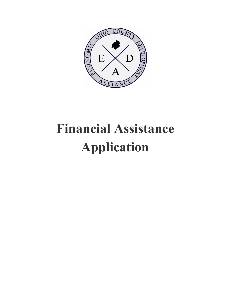

# **Financial Assistance Application**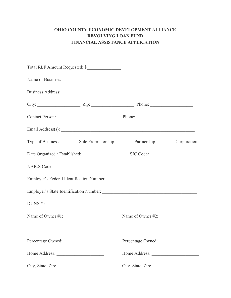## **OHIO COUNTY ECONOMIC DEVELOPMENT ALLIANCE REVOLVING LOAN FUND FINANCIAL ASSISTANCE APPLICATION**

|                                                                                                                                            | City: $\frac{2}{\pi}$ Zip: $\frac{2}{\pi}$ Phone: $\frac{2}{\pi}$                          |                   |  |
|--------------------------------------------------------------------------------------------------------------------------------------------|--------------------------------------------------------------------------------------------|-------------------|--|
|                                                                                                                                            | Contact Person: Phone: Phone: Phone:                                                       |                   |  |
|                                                                                                                                            |                                                                                            |                   |  |
|                                                                                                                                            | Type of Business: __________Sole Proprietorship __________Partnership _________Corporation |                   |  |
|                                                                                                                                            | Date Organized / Established: SIC Code: SIC Code:                                          |                   |  |
|                                                                                                                                            |                                                                                            |                   |  |
|                                                                                                                                            |                                                                                            |                   |  |
|                                                                                                                                            |                                                                                            |                   |  |
|                                                                                                                                            | DUNS #:                                                                                    |                   |  |
| Name of Owner #1:                                                                                                                          |                                                                                            | Name of Owner #2: |  |
| <u> 1989 - Johann Harry Harry Harry Harry Harry Harry Harry Harry Harry Harry Harry Harry Harry Harry Harry Harry</u><br>Percentage Owned: |                                                                                            | Percentage Owned: |  |
|                                                                                                                                            |                                                                                            |                   |  |
| City, State, Zip:                                                                                                                          |                                                                                            |                   |  |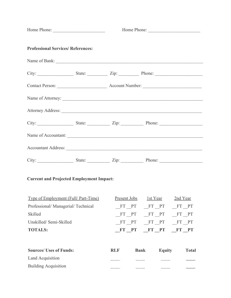| Home Phone:                                     | Home Phone:         |                              |              |
|-------------------------------------------------|---------------------|------------------------------|--------------|
| <b>Professional Services/ References:</b>       |                     |                              |              |
|                                                 |                     |                              |              |
|                                                 |                     |                              |              |
|                                                 |                     |                              |              |
|                                                 |                     |                              |              |
|                                                 |                     |                              |              |
| City: State: State: Zip: Phone: New York: 21911 |                     |                              |              |
| Name of Accountant:                             |                     |                              |              |
|                                                 |                     |                              |              |
|                                                 |                     |                              |              |
| <b>Current and Projected Employment Impact:</b> |                     |                              |              |
| <b>Type of Employment (Full/ Part-Time)</b>     | <u>Present Jobs</u> | 1st Year                     | 2nd Year     |
| Professional/Managerial/Technical               |                     | FT PT FT PT FT PT            |              |
| Skilled                                         |                     | FT PT FT PT FT PT            |              |
| Unskilled/Semi-Skilled                          | FT PT               | FT PT FT PT                  |              |
| <b>TOTALS:</b>                                  |                     | FT PT FT PT FT PT            |              |
| <b>Sources/ Uses of Funds:</b>                  | <b>RLF</b>          | <b>Bank</b><br><b>Equity</b> | <b>Total</b> |
| Land Acquisition                                |                     |                              |              |

Building Acquisition \_\_\_\_ \_\_\_\_ \_\_\_\_ **\_\_\_\_**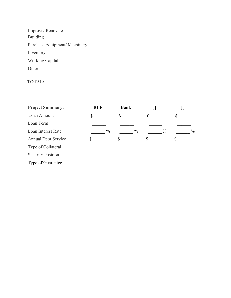| Improve/Renovate             |  |  |
|------------------------------|--|--|
| <b>Building</b>              |  |  |
| Purchase Equipment/Machinery |  |  |
| Inventory                    |  |  |
| <b>Working Capital</b>       |  |  |
| Other                        |  |  |
|                              |  |  |

# **TOTAL: \_\_\_\_\_\_\_\_\_\_\_\_\_\_\_\_\_\_\_\_\_\_\_\_\_\_**

| <b>Project Summary:</b>    | <b>RLF</b>    | <b>Bank</b>   |                       |
|----------------------------|---------------|---------------|-----------------------|
| Loan Amount                | \$            | S.            | \$                    |
| Loan Term                  |               |               |                       |
| Loan Interest Rate         | $\frac{0}{0}$ | $\frac{0}{0}$ | $\%$<br>$\frac{0}{0}$ |
| <b>Annual Debt Service</b> | S             | У             |                       |
| Type of Collateral         |               |               |                       |
| <b>Security Position</b>   |               |               |                       |
| Type of Guarantee          |               |               |                       |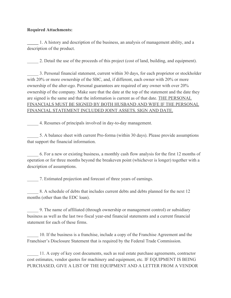#### **Required Attachments:**

**\_\_\_\_\_** 1. A history and description of the business, an analysis of management ability, and a description of the product.

2. Detail the use of the proceeds of this project (cost of land, building, and equipment).

3. Personal financial statement, current within 30 days, for each proprietor or stockholder with 20% or more ownership of the SBC, and, if different, each owner with 20% or more ownership of the alter-ego. Personal guarantees are required of any owner with over 20% ownership of the company. Make sure that the date at the top of the statement and the date they are signed is the same and that the information is current as of that date. THE PERSONAL FINANCIALS MUST BE SIGNED BY BOTH HUSBAND AND WIFE IF THE PERSONAL FINANCIAL STATEMENT INCLUDED JOINT ASSETS. SIGN AND DATE.

\_\_\_\_\_ 4. Resumes of principals involved in day-to-day management.

\_\_\_\_\_ 5. A balance sheet with current Pro-forma (within 30 days). Please provide assumptions that support the financial information.

\_\_\_\_\_ 6. For a new or existing business, a monthly cash flow analysis for the first 12 months of operation or for three months beyond the breakeven point (whichever is longer) together with a description of assumptions.

\_\_\_\_\_ 7. Estimated projection and forecast of three years of earnings.

\_\_\_\_\_ 8. A schedule of debts that includes current debts and debts planned for the next 12 months (other than the EDC loan).

9. The name of affiliated (through ownership or management control) or subsidiary business as well as the last two fiscal year-end financial statements and a current financial statement for each of these firms.

\_\_\_\_\_ 10. If the business is a franchise, include a copy of the Franchise Agreement and the Franchiser's Disclosure Statement that is required by the Federal Trade Commission.

\_\_\_\_\_ 11. A copy of key cost documents, such as real estate purchase agreements, contractor cost estimates, vendor quotes for machinery and equipment, etc. IF EQUIPMENT IS BEING PURCHASED, GIVE A LIST OF THE EQUIPMENT AND A LETTER FROM A VENDOR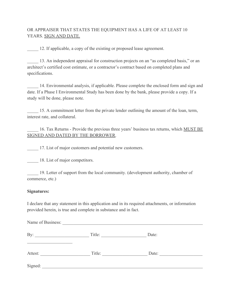### OR APPRAISER THAT STATES THE EQUIPMENT HAS A LIFE OF AT LEAST 10 YEARS. SIGN AND DATE.

12. If applicable, a copy of the existing or proposed lease agreement.

13. An independent appraisal for construction projects on an "as completed basis," or an architect's certified cost estimate, or a contractor's contract based on completed plans and specifications.

14. Environmental analysis, if applicable. Please complete the enclosed form and sign and date. If a Phase I Environmental Study has been done by the bank, please provide a copy. If a study will be done, please note.

15. A commitment letter from the private lender outlining the amount of the loan, term, interest rate, and collateral.

16. Tax Returns - Provide the previous three years' business tax returns, which MUST BE SIGNED AND DATED BY THE BORROWER.

17. List of major customers and potential new customers.

18. List of major competitors.

19. Letter of support from the local community. (development authority, chamber of commerce, etc.)

#### **Signatures:**

I declare that any statement in this application and in its required attachments, or information provided herein, is true and complete in substance and in fact.

| By:     | Title: | Date: |  |
|---------|--------|-------|--|
| Attest: | Title: | Date: |  |
| Signed: |        |       |  |